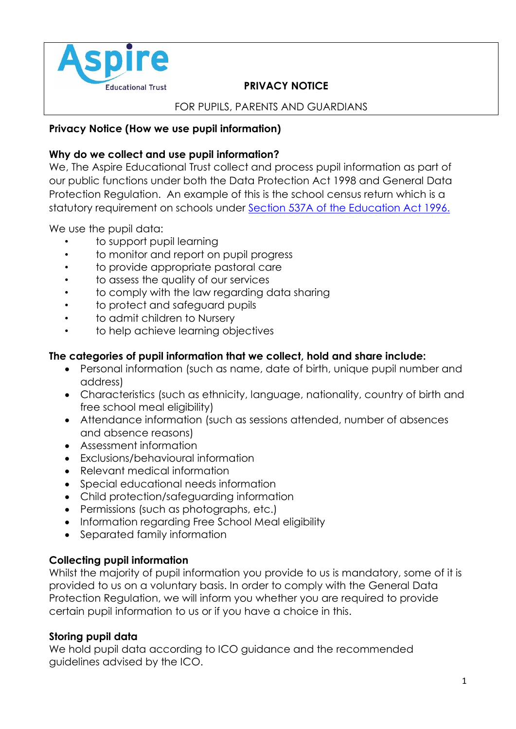

# Educational Trust **PRIVACY NOTICE**

#### FOR PUPILS, PARENTS AND GUARDIANS

#### **Privacy Notice (How we use pupil information)**

### **Why do we collect and use pupil information?**

We, The Aspire Educational Trust collect and process pupil information as part of our public functions under both the Data Protection Act 1998 and General Data Protection Regulation. An example of this is the school census return which is a statutory requirement on schools under [Section 537A of the Education Act 1996.](http://www.legislation.gov.uk/ukpga/1996/56/section/537A)

We use the pupil data:

- to support pupil learning
- to monitor and report on pupil progress
- to provide appropriate pastoral care
- to assess the quality of our services
- to comply with the law regarding data sharing
- to protect and safeguard pupils
- to admit children to Nursery
- to help achieve learning objectives

### **The categories of pupil information that we collect, hold and share include:**

- Personal information (such as name, date of birth, unique pupil number and address)
- Characteristics (such as ethnicity, language, nationality, country of birth and free school meal eligibility)
- Attendance information (such as sessions attended, number of absences and absence reasons)
- Assessment information
- Exclusions/behavioural information
- Relevant medical information
- Special educational needs information
- Child protection/safeguarding information
- Permissions (such as photographs, etc.)
- Information regarding Free School Meal eligibility
- Separated family information

# **Collecting pupil information**

Whilst the majority of pupil information you provide to us is mandatory, some of it is provided to us on a voluntary basis. In order to comply with the General Data Protection Regulation, we will inform you whether you are required to provide certain pupil information to us or if you have a choice in this.

# **Storing pupil data**

We hold pupil data according to ICO guidance and the recommended guidelines advised by the ICO.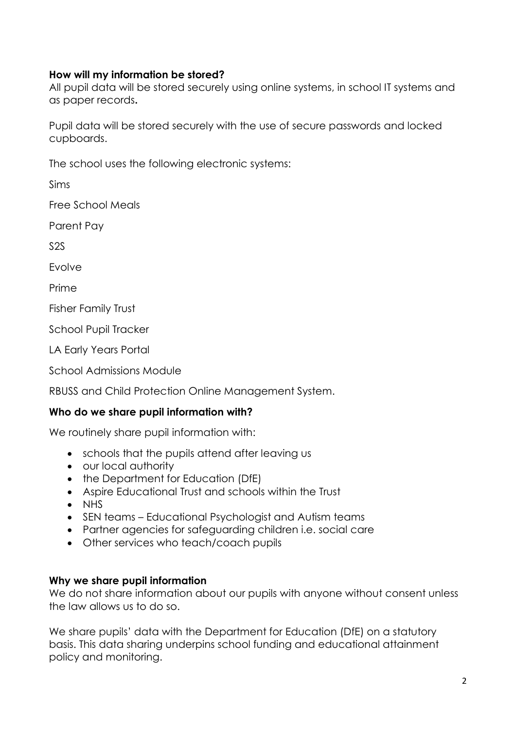### **How will my information be stored?**

All pupil data will be stored securely using online systems, in school IT systems and as paper records**.** 

Pupil data will be stored securely with the use of secure passwords and locked cupboards.

The school uses the following electronic systems:

Sims

Free School Meals

Parent Pay

S2S

Evolve

Prime

Fisher Family Trust

School Pupil Tracker

LA Early Years Portal

School Admissions Module

RBUSS and Child Protection Online Management System.

# **Who do we share pupil information with?**

We routinely share pupil information with:

- schools that the pupils attend after leaving us
- our local authority
- the Department for Education (DfF)
- Aspire Educational Trust and schools within the Trust
- NHS
- SEN teams Educational Psychologist and Autism teams
- Partner agencies for safeguarding children i.e. social care
- Other services who teach/coach pupils

#### **Why we share pupil information**

We do not share information about our pupils with anyone without consent unless the law allows us to do so.

We share pupils' data with the Department for Education (DfE) on a statutory basis. This data sharing underpins school funding and educational attainment policy and monitoring.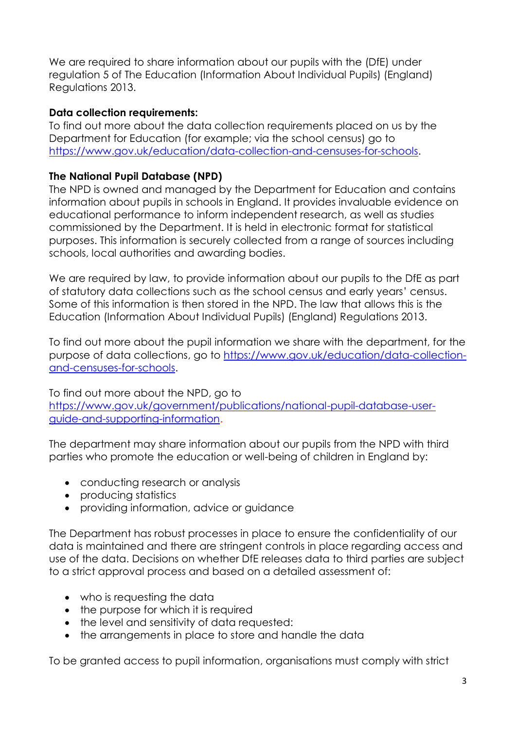We are required to share information about our pupils with the (DfE) under regulation 5 of The Education (Information About Individual Pupils) (England) Regulations 2013.

### **Data collection requirements:**

To find out more about the data collection requirements placed on us by the Department for Education (for example; via the school census) go to [https://www.gov.uk/education/data-collection-and-censuses-for-schools.](https://www.gov.uk/education/data-collection-and-censuses-for-schools)

# **The National Pupil Database (NPD)**

The NPD is owned and managed by the Department for Education and contains information about pupils in schools in England. It provides invaluable evidence on educational performance to inform independent research, as well as studies commissioned by the Department. It is held in electronic format for statistical purposes. This information is securely collected from a range of sources including schools, local authorities and awarding bodies.

We are required by law, to provide information about our pupils to the DfE as part of statutory data collections such as the school census and early years' census. Some of this information is then stored in the NPD. The law that allows this is the Education (Information About Individual Pupils) (England) Regulations 2013.

To find out more about the pupil information we share with the department, for the purpose of data collections, go to [https://www.gov.uk/education/data-collection](https://www.gov.uk/education/data-collection-and-censuses-for-schools)[and-censuses-for-schools.](https://www.gov.uk/education/data-collection-and-censuses-for-schools)

To find out more about the NPD, go to [https://www.gov.uk/government/publications/national-pupil-database-user](https://www.gov.uk/government/publications/national-pupil-database-user-guide-and-supporting-information)[guide-and-supporting-information.](https://www.gov.uk/government/publications/national-pupil-database-user-guide-and-supporting-information)

The department may share information about our pupils from the NPD with third parties who promote the education or well-being of children in England by:

- conducting research or analysis
- producing statistics
- providing information, advice or guidance

The Department has robust processes in place to ensure the confidentiality of our data is maintained and there are stringent controls in place regarding access and use of the data. Decisions on whether DfE releases data to third parties are subject to a strict approval process and based on a detailed assessment of:

- who is requesting the data
- the purpose for which it is required
- the level and sensitivity of data requested:
- the arrangements in place to store and handle the data

To be granted access to pupil information, organisations must comply with strict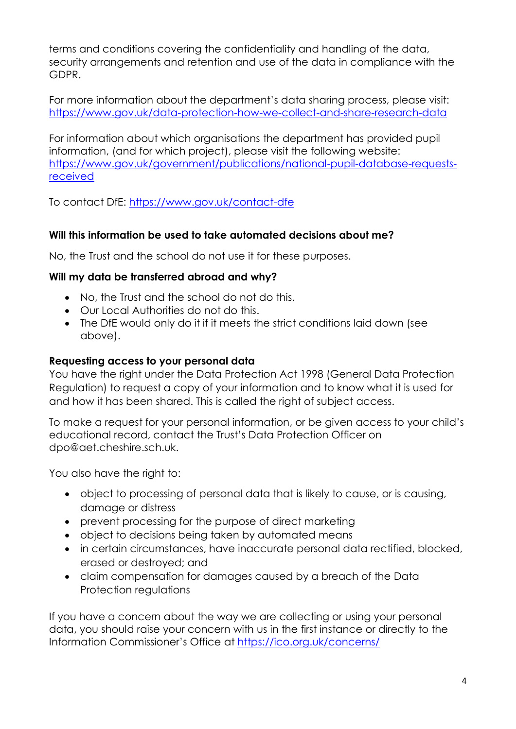terms and conditions covering the confidentiality and handling of the data, security arrangements and retention and use of the data in compliance with the GDPR.

For more information about the department's data sharing process, please visit: <https://www.gov.uk/data-protection-how-we-collect-and-share-research-data>

For information about which organisations the department has provided pupil information, (and for which project), please visit the following website: [https://www.gov.uk/government/publications/national-pupil-database-requests](https://www.gov.uk/government/publications/national-pupil-database-requests-received)[received](https://www.gov.uk/government/publications/national-pupil-database-requests-received)

To contact DfE:<https://www.gov.uk/contact-dfe>

# **Will this information be used to take automated decisions about me?**

No, the Trust and the school do not use it for these purposes.

### **Will my data be transferred abroad and why?**

- No, the Trust and the school do not do this.
- Our Local Authorities do not do this.
- The DfE would only do it if it meets the strict conditions laid down (see above).

#### **Requesting access to your personal data**

You have the right under the Data Protection Act 1998 (General Data Protection Regulation) to request a copy of your information and to know what it is used for and how it has been shared. This is called the right of subject access.

To make a request for your personal information, or be given access to your child's educational record, contact the Trust's Data Protection Officer on dpo@aet.cheshire.sch.uk.

You also have the right to:

- object to processing of personal data that is likely to cause, or is causing, damage or distress
- prevent processing for the purpose of direct marketing
- object to decisions being taken by automated means
- in certain circumstances, have inaccurate personal data rectified, blocked, erased or destroyed; and
- claim compensation for damages caused by a breach of the Data Protection regulations

If you have a concern about the way we are collecting or using your personal data, you should raise your concern with us in the first instance or directly to the Information Commissioner's Office at <https://ico.org.uk/concerns/>